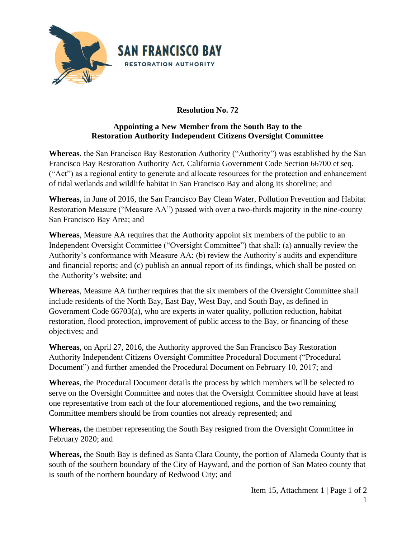

## **Resolution No. 72**

## **Appointing a New Member from the South Bay to the Restoration Authority Independent Citizens Oversight Committee**

**Whereas**, the San Francisco Bay Restoration Authority ("Authority") was established by the San Francisco Bay Restoration Authority Act, California Government Code Section 66700 et seq. ("Act") as a regional entity to generate and allocate resources for the protection and enhancement of tidal wetlands and wildlife habitat in San Francisco Bay and along its shoreline; and

**Whereas**, in June of 2016, the San Francisco Bay Clean Water, Pollution Prevention and Habitat Restoration Measure ("Measure AA") passed with over a two-thirds majority in the nine-county San Francisco Bay Area; and

**Whereas**, Measure AA requires that the Authority appoint six members of the public to an Independent Oversight Committee ("Oversight Committee") that shall: (a) annually review the Authority's conformance with Measure AA; (b) review the Authority's audits and expenditure and financial reports; and (c) publish an annual report of its findings, which shall be posted on the Authority's website; and

**Whereas**, Measure AA further requires that the six members of the Oversight Committee shall include residents of the North Bay, East Bay, West Bay, and South Bay, as defined in Government Code 66703(a), who are experts in water quality, pollution reduction, habitat restoration, flood protection, improvement of public access to the Bay, or financing of these objectives; and

**Whereas**, on April 27, 2016, the Authority approved the San Francisco Bay Restoration Authority Independent Citizens Oversight Committee Procedural Document ("Procedural Document") and further amended the Procedural Document on February 10, 2017; and

**Whereas**, the Procedural Document details the process by which members will be selected to serve on the Oversight Committee and notes that the Oversight Committee should have at least one representative from each of the four aforementioned regions, and the two remaining Committee members should be from counties not already represented; and

**Whereas,** the member representing the South Bay resigned from the Oversight Committee in February 2020; and

**Whereas,** the South Bay is defined as Santa Clara County, the portion of Alameda County that is south of the southern boundary of the City of Hayward, and the portion of San Mateo county that is south of the northern boundary of Redwood City; and